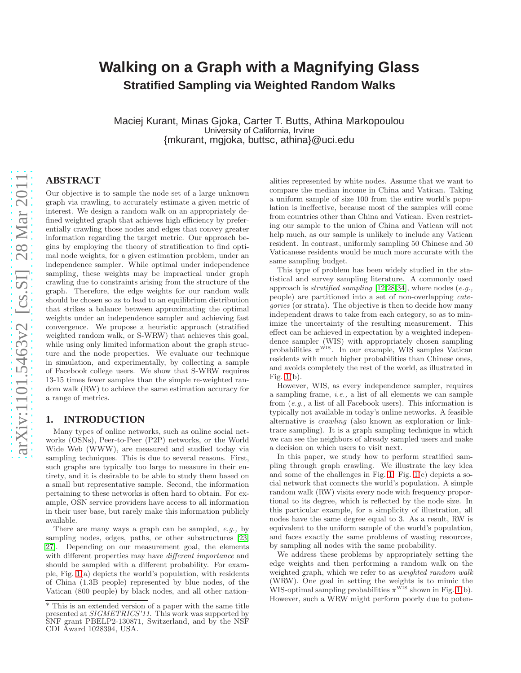# **Walking on a Graph with a Magnifying Glass Stratified Sampling via Weighted Random Walks**

Maciej Kurant, Minas Gjoka, Carter T. Butts, Athina Markopoulou University of California, Irvine {mkurant, mgjoka, buttsc, athina}@uci.edu

# **ABSTRACT**

Our objective is to sample the node set of a large unknown graph via crawling, to accurately estimate a given metric of interest. We design a random walk on an appropriately defined weighted graph that achieves high efficiency by preferentially crawling those nodes and edges that convey greater information regarding the target metric. Our approach begins by employing the theory of stratification to find optimal node weights, for a given estimation problem, under an independence sampler. While optimal under independence sampling, these weights may be impractical under graph crawling due to constraints arising from the structure of th e graph. Therefore, the edge weights for our random walk should be chosen so as to lead to an equilibrium distribution that strikes a balance between approximating the optimal weights under an independence sampler and achieving fast convergence. We propose a heuristic approach (stratified weighted random walk, or S-WRW) that achieves this goal, while using only limited information about the graph structure and the node properties. We evaluate our technique in simulation, and experimentally, by collecting a sample of Facebook college users. We show that S-WRW requires 13-15 times fewer samples than the simple re-weighted random walk (RW) to achieve the same estimation accuracy for a range of metrics.

# <span id="page-0-0"></span>**1. INTRODUCTION**

Many types of online networks, such as online social networks (OSNs), Peer-to-Peer (P2P) networks, or the World Wide Web (WWW), are measured and studied today via sampling techniques. This is due to several reasons. First, such graphs are typically too large to measure in their entirety, and it is desirable to be able to study them based on a small but representative sample. Second, the information pertaining to these networks is often hard to obtain. For example, OSN service providers have access to all information in their user base, but rarely make this information publicl y available.

There are many ways a graph can be sampled, e.g., by sampling nodes, edges, paths, or other substructures [\[23,](#page-11-0) [27\]](#page-11-1). Depending on our measurement goal, the elements with different properties may have different importance and should be sampled with a different probability. For example, Fig. [1\(](#page-1-0)a) depicts the world's population, with residents of China (1.3B people) represented by blue nodes, of the Vatican (800 people) by black nodes, and all other nationalities represented by white nodes. Assume that we want to compare the median income in China and Vatican. Taking a uniform sample of size 100 from the entire world's population is ineffective, because most of the samples will come from countries other than China and Vatican. Even restricting our sample to the union of China and Vatican will not help much, as our sample is unlikely to include any Vatican resident. In contrast, uniformly sampling 50 Chinese and 50 Vaticanese residents would be much more accurate with the same sampling budget.

This type of problem has been widely studied in the statistical and survey sampling literature. A commonly used approach is *stratified sampling* [\[12,](#page-11-2)[28](#page-11-3)[,34\]](#page-12-0), where nodes  $(e.g.,)$ people) are partitioned into a set of non-overlapping categories (or strata). The objective is then to decide how many independent draws to take from each category, so as to minimize the uncertainty of the resulting measurement. This effect can be achieved in expectation by a weighted independence sampler (WIS) with appropriately chosen sampling probabilities  $\pi^{\text{WIS}}$ . In our example, WIS samples Vatican residents with much higher probabilities than Chinese ones , and avoids completely the rest of the world, as illustrated i n Fig.  $1(b)$ .

However, WIS, as every independence sampler, requires a sampling frame, i.e., a list of all elements we can sample from (e.g., a list of all Facebook users). This information is typically not available in today's online networks. A feasible alternative is crawling (also known as exploration or linktrace sampling). It is a graph sampling technique in which we can see the neighbors of already sampled users and make a decision on which users to visit next.

In this paper, we study how to perform stratified sampling through graph crawling. We illustrate the key idea and some of the challenges in Fig. [1.](#page-1-0) Fig. [1\(](#page-1-0)c) depicts a social network that connects the world's population. A simple random walk (RW) visits every node with frequency proportional to its degree, which is reflected by the node size. In this particular example, for a simplicity of illustration, all nodes have the same degree equal to 3. As a result, RW is equivalent to the uniform sample of the world's population, and faces exactly the same problems of wasting resources, by sampling all nodes with the same probability.

We address these problems by appropriately setting the edge weights and then performing a random walk on the weighted graph, which we refer to as *weighted random walk* (WRW). One goal in setting the weights is to mimic the WIS-optimal sampling probabilities  $\pi^{\text{WIS}}$  shown in Fig. [1\(](#page-1-0)b). However, such a WRW might perform poorly due to poten-

<sup>\*</sup> This is an extended version of a paper with the same title presented at SIGMETRICS'11. This work was supported by SNF grant PBELP2-130871, Switzerland, and by the NSF CDI Award 1028394, USA.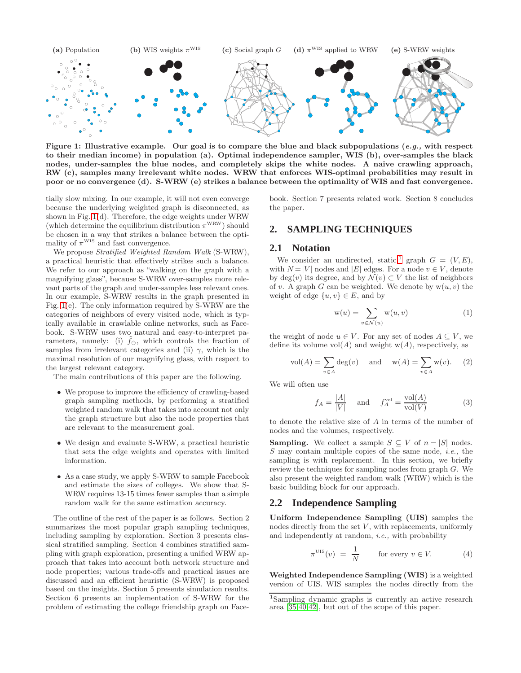

<span id="page-1-0"></span>Figure 1: Illustrative example. Our goal is to compare the blue and black subpopulations (e.g., with respect to their median income) in population (a). Optimal independence sampler, WIS (b), over-samples the black nodes, under-samples the blue nodes, and completely skips the white nodes. A naive crawling approach, RW (c), samples many irrelevant white nodes. WRW that enforces WIS-optimal probabilities may result in poor or no convergence (d). S-WRW (e) strikes a balance between the optimality of WIS and fast convergence.

tially slow mixing. In our example, it will not even converge because the underlying weighted graph is disconnected, as shown in Fig. [1\(](#page-1-0)d). Therefore, the edge weights under WRW (which determine the equilibrium distribution  $\pi^{\text{WRW}}$ ) should be chosen in a way that strikes a balance between the optimality of  $\pi$ <sup>WIS</sup> and fast convergence.

We propose Stratified Weighted Random Walk (S-WRW), a practical heuristic that effectively strikes such a balance. We refer to our approach as "walking on the graph with a magnifying glass", because S-WRW over-samples more relevant parts of the graph and under-samples less relevant ones. In our example, S-WRW results in the graph presented in Fig. [1\(](#page-1-0)e). The only information required by S-WRW are the categories of neighbors of every visited node, which is typically available in crawlable online networks, such as Facebook. S-WRW uses two natural and easy-to-interpret parameters, namely: (i)  $\tilde{f}_{\Theta}$ , which controls the fraction of samples from irrelevant categories and (ii)  $\gamma$ , which is the maximal resolution of our magnifying glass, with respect to the largest relevant category.

The main contributions of this paper are the following.

- We propose to improve the efficiency of crawling-based graph sampling methods, by performing a stratified weighted random walk that takes into account not only the graph structure but also the node properties that are relevant to the measurement goal.
- We design and evaluate S-WRW, a practical heuristic that sets the edge weights and operates with limited information.
- As a case study, we apply S-WRW to sample Facebook and estimate the sizes of colleges. We show that S-WRW requires 13-15 times fewer samples than a simple random walk for the same estimation accuracy.

The outline of the rest of the paper is as follows. Section 2 summarizes the most popular graph sampling techniques, including sampling by exploration. Section 3 presents classical stratified sampling. Section 4 combines stratified sampling with graph exploration, presenting a unified WRW approach that takes into account both network structure and node properties; various trade-offs and practical issues are discussed and an efficient heuristic (S-WRW) is proposed based on the insights. Section 5 presents simulation results. Section 6 presents an implementation of S-WRW for the problem of estimating the college friendship graph on Facebook. Section 7 presents related work. Section 8 concludes the paper.

# **2. SAMPLING TECHNIQUES**

#### **2.1 Notation**

We consider an undirected, static,<sup>[1](#page-1-1)</sup> graph  $G = (V, E)$ , with  $N = |V|$  nodes and  $|E|$  edges. For a node  $v \in V$ , denote by deg(v) its degree, and by  $\mathcal{N}(v) \subset V$  the list of neighbors of v. A graph G can be weighted. We denote by  $w(u, v)$  the weight of edge  $\{u, v\} \in E$ , and by

$$
\mathbf{w}(u) = \sum_{v \in \mathcal{N}(u)} \mathbf{w}(u, v) \tag{1}
$$

the weight of node  $u \in V$ . For any set of nodes  $A \subseteq V$ , we define its volume  $vol(A)$  and weight  $w(A)$ , respectively, as

$$
\text{vol}(A) = \sum_{v \in A} \text{deg}(v) \quad \text{and} \quad \text{w}(A) = \sum_{v \in A} \text{w}(v). \tag{2}
$$

We will often use

$$
f_A = \frac{|A|}{|V|} \quad \text{and} \quad f_A^{\text{vol}} = \frac{\text{vol}(A)}{\text{vol}(V)} \tag{3}
$$

to denote the relative size of A in terms of the number of nodes and the volumes, respectively.

**Sampling.** We collect a sample  $S \subseteq V$  of  $n = |S|$  nodes. S may contain multiple copies of the same node, i.e., the sampling is with replacement. In this section, we briefly review the techniques for sampling nodes from graph  $G$ . We also present the weighted random walk (WRW) which is the basic building block for our approach.

### **2.2 Independence Sampling**

Uniform Independence Sampling (UIS) samples the nodes directly from the set  $V$ , with replacements, uniformly and independently at random, i.e., with probability

$$
\pi^{\text{UIS}}(v) = \frac{1}{N} \qquad \text{for every } v \in V. \tag{4}
$$

Weighted Independence Sampling (WIS) is a weighted version of UIS. WIS samples the nodes directly from the

<span id="page-1-1"></span><sup>1</sup> Sampling dynamic graphs is currently an active research area [\[35](#page-12-1)[,40](#page-12-2)[,42\]](#page-12-3), but out of the scope of this paper.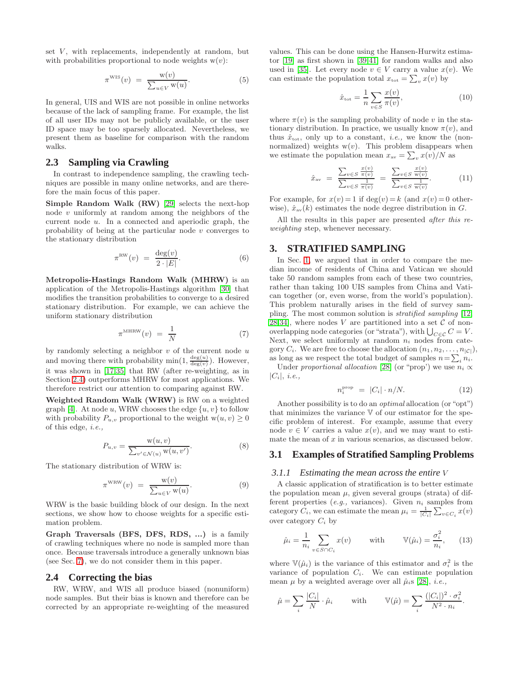set  $V$ , with replacements, independently at random, but with probabilities proportional to node weights  $w(v)$ :

$$
\pi^{\text{WIS}}(v) = \frac{\mathbf{w}(v)}{\sum_{u \in V} \mathbf{w}(u)}.
$$
\n(5)

In general, UIS and WIS are not possible in online networks because of the lack of sampling frame. For example, the list of all user IDs may not be publicly available, or the user ID space may be too sparsely allocated. Nevertheless, we present them as baseline for comparison with the random walks.

# <span id="page-2-2"></span>**2.3 Sampling via Crawling**

In contrast to independence sampling, the crawling techniques are possible in many online networks, and are therefore the main focus of this paper.

Simple Random Walk (RW) [\[29\]](#page-11-4) selects the next-hop node v uniformly at random among the neighbors of the current node u. In a connected and aperiodic graph, the probability of being at the particular node  $v$  converges to the stationary distribution

$$
\pi^{\text{RW}}(v) = \frac{\text{deg}(v)}{2 \cdot |E|}.
$$
 (6)

Metropolis-Hastings Random Walk (MHRW) is an application of the Metropolis-Hastings algorithm [\[30\]](#page-11-5) that modifies the transition probabilities to converge to a desired stationary distribution. For example, we can achieve the uniform stationary distribution

$$
\pi^{\text{MHRW}}(v) = \frac{1}{N} \tag{7}
$$

by randomly selecting a neighbor  $v$  of the current node  $u$ and moving there with probability  $\min(1, \frac{\deg(u)}{\deg(v)})$ . However, it was shown in [\[17](#page-11-6)[,35\]](#page-12-1) that RW (after re-weighting, as in Section [2.4\)](#page-2-0) outperforms MHRW for most applications. We therefore restrict our attention to comparing against RW.

Weighted Random Walk (WRW) is RW on a weighted graph [\[4\]](#page-11-7). At node u, WRW chooses the edge  $\{u, v\}$  to follow with probability  $P_{u,v}$  proportional to the weight  $w(u, v) \geq 0$ of this edge, i.e.,

<span id="page-2-4"></span>
$$
P_{u,v} = \frac{\mathbf{w}(u,v)}{\sum_{v' \in \mathcal{N}(u)} \mathbf{w}(u,v')}.
$$
 (8)

The stationary distribution of WRW is:

$$
\pi^{\text{WRW}}(v) = \frac{\mathbf{w}(v)}{\sum_{u \in V} \mathbf{w}(u)}.
$$
\n(9)

WRW is the basic building block of our design. In the next sections, we show how to choose weights for a specific estimation problem.

Graph Traversals (BFS, DFS, RDS, ...) is a family of crawling techniques where no node is sampled more than once. Because traversals introduce a generally unknown bias (see Sec. [7\)](#page-10-0), we do not consider them in this paper.

### <span id="page-2-0"></span>**2.4 Correcting the bias**

RW, WRW, and WIS all produce biased (nonuniform) node samples. But their bias is known and therefore can be corrected by an appropriate re-weighting of the measured values. This can be done using the Hansen-Hurwitz estimator [\[19\]](#page-11-8) as first shown in [\[39,](#page-12-4)[41\]](#page-12-5) for random walks and also used in [\[35\]](#page-12-1). Let every node  $v \in V$  carry a value  $x(v)$ . We can estimate the population total  $x_{\text{tot}} = \sum_{v} x(v)$  by

$$
\hat{x}_{\text{tot}} = \frac{1}{n} \sum_{v \in S} \frac{x(v)}{\pi(v)},\tag{10}
$$

where  $\pi(v)$  is the sampling probability of node v in the stationary distribution. In practice, we usually know  $\pi(v)$ , and thus  $\hat{x}_{\text{tot}}$ , only up to a constant, *i.e.*, we know the (nonnormalized) weights  $w(v)$ . This problem disappears when we estimate the population mean  $x_{av} = \sum_{v} x(v) / N$  as

$$
\hat{x}_{\rm av} = \frac{\sum_{v \in S} \frac{x(v)}{\pi(v)}}{\sum_{v \in S} \frac{1}{\pi(v)}} = \frac{\sum_{v \in S} \frac{x(v)}{\mathbf{w}(v)}}{\sum_{v \in S} \frac{1}{\mathbf{w}(v)}}.
$$
(11)

For example, for  $x(v) = 1$  if  $deg(v) = k$  (and  $x(v) = 0$  otherwise),  $\hat{x}_{av}(k)$  estimates the node degree distribution in G.

All the results in this paper are presented *after this re*weighting step, whenever necessary.

### <span id="page-2-3"></span>**3. STRATIFIED SAMPLING**

In Sec. [1,](#page-0-0) we argued that in order to compare the median income of residents of China and Vatican we should take 50 random samples from each of these two countries, rather than taking 100 UIS samples from China and Vatican together (or, even worse, from the world's population). This problem naturally arises in the field of survey sampling. The most common solution is stratified sampling [\[12,](#page-11-2) [28,](#page-11-3)[34\]](#page-12-0), where nodes V are partitioned into a set  $\mathcal C$  of nonoverlapping node categories (or "strata"), with  $\bigcup_{C \in \mathcal{C}} C = V$ . Next, we select uniformly at random  $n_i$  nodes from category  $C_i$ . We are free to choose the allocation  $(n_1, n_2, \ldots, n_{|\mathcal{C}|}),$ as long as we respect the total budget of samples  $n = \sum_i n_i$ .

Under proportional allocation [\[28\]](#page-11-3) (or "prop') we use  $n_i \propto$  $|C_i|$ , *i.e.*,

<span id="page-2-1"></span>
$$
n_i^{\text{prop}} = |C_i| \cdot n/N. \tag{12}
$$

Another possibility is to do an *optimal* allocation (or "opt") that minimizes the variance  $V$  of our estimator for the specific problem of interest. For example, assume that every node  $v \in V$  carries a value  $x(v)$ , and we may want to estimate the mean of  $x$  in various scenarios, as discussed below.

### **3.1 Examples of Stratified Sampling Problems**

#### *3.1.1 Estimating the mean across the entire* V

A classic application of stratification is to better estimate the population mean  $\mu$ , given several groups (strata) of different properties (e.g., variances). Given  $n_i$  samples from category  $C_i$ , we can estimate the mean  $\mu_i = \frac{1}{|C_i|} \sum_{v \in C_i} x(v)$ over category  $C_i$  by

$$
\hat{\mu}_i = \frac{1}{n_i} \sum_{v \in S \cap C_i} x(v) \quad \text{with} \quad \mathbb{V}(\hat{\mu}_i) = \frac{\sigma_i^2}{n_i}, \quad (13)
$$

where  $\mathbb{V}(\hat{\mu}_i)$  is the variance of this estimator and  $\sigma_i^2$  is the variance of population  $C_i$ . We can estimate population mean  $\mu$  by a weighted average over all  $\hat{\mu}_i$ s [\[28\]](#page-11-3), *i.e.*,

$$
\hat{\mu} = \sum_{i} \frac{|C_i|}{N} \cdot \hat{\mu}_i \quad \text{with} \quad \mathbb{V}(\hat{\mu}) = \sum_{i} \frac{(|C_i|)^2 \cdot \sigma_i^2}{N^2 \cdot n_i}.
$$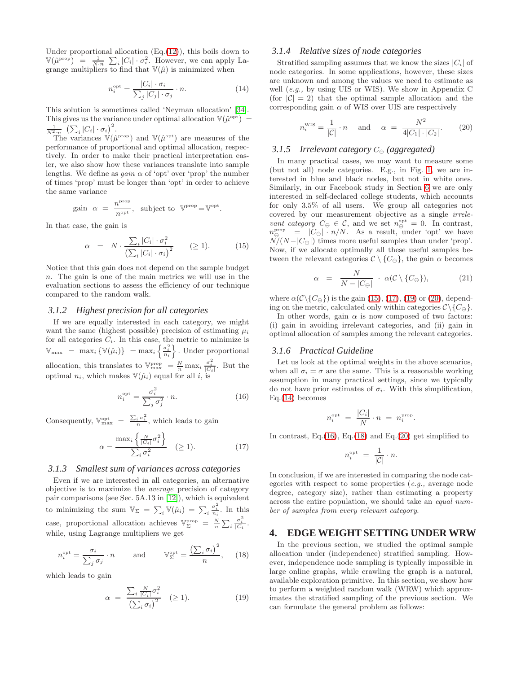Under proportional allocation  $(Eq.(12))$  $(Eq.(12))$  $(Eq.(12))$ , this boils down to  $\mathbb{V}(\hat{\mu}^{\text{prop}}) = \frac{1}{N \cdot n} \sum_i |C_i| \cdot \sigma_i^2$ . However, we can apply Lagrange multipliers to find that  $\mathbb{V}(\hat{\mu})$  is minimized when

<span id="page-3-4"></span>
$$
n_i^{\text{opt}} = \frac{|C_i| \cdot \sigma_i}{\sum_j |C_j| \cdot \sigma_j} \cdot n. \tag{14}
$$

This solution is sometimes called 'Neyman allocation' [\[34\]](#page-12-0). This gives us the variance under optimal allocation  $\mathbb{V}(\hat{\mu}^{\text{opt}})$  =  $\frac{1}{N^2 \cdot n} \left( \sum_i |C_i| \cdot \sigma_i \right)^2$ .

The variances  $\mathbb{V}(\hat{\mu}^{\text{prop}})$  and  $\mathbb{V}(\hat{\mu}^{\text{opt}})$  are measures of the performance of proportional and optimal allocation, respectively. In order to make their practical interpretation easier, we also show how these variances translate into sample lengths. We define as *gain*  $\alpha$  of 'opt' over 'prop' the number of times 'prop' must be longer than 'opt' in order to achieve the same variance

gain 
$$
\alpha = \frac{n^{\text{prop}}}{n^{\text{opt}}}
$$
, subject to  $\mathbb{V}^{\text{prop}} = \mathbb{V}^{\text{opt}}$ .

In that case, the gain is

<span id="page-3-0"></span>
$$
\alpha = N \cdot \frac{\sum_{i} |C_i| \cdot \sigma_i^2}{\left(\sum_{i} |C_i| \cdot \sigma_i\right)^2} \qquad (\ge 1). \tag{15}
$$

Notice that this gain does not depend on the sample budget n. The gain is one of the main metrics we will use in the evaluation sections to assess the efficiency of our technique compared to the random walk.

### *3.1.2 Highest precision for all categories*

If we are equally interested in each category, we might want the same (highest possible) precision of estimating  $\mu_i$ for all categories  $C_i$ . In this case, the metric to minimize is  $\mathbb{V}_{\text{max}} = \max_i \{ \mathbb{V}(\hat{\mu}_i) \} = \max_i \left\{ \frac{\sigma_i^2}{n_i} \right\}.$  Under proportional allocation, this translates to  $\mathbb{V}_{\max}^{\text{prop}} = \frac{N}{n} \max_i \frac{\sigma_i^2}{|C_i|}$ . But the 2 optimal  $n_i$ , which makes  $\mathbb{V}(\hat{\mu}_i)$  equal for all i, is

<span id="page-3-5"></span>
$$
n_i^{\text{opt}} = \frac{\sigma_i^2}{\sum_j \sigma_j^2} \cdot n. \tag{16}
$$

Consequently,  $\mathbb{V}_{\max}^{\text{opt}} = \frac{\sum_i \sigma_i^2}{n}$ , which leads to gain

<span id="page-3-1"></span>
$$
\alpha = \frac{\max_{i} \left\{ \frac{N}{|C_i|} \sigma_i^2 \right\}}{\sum_{i} \sigma_i^2} \quad (\ge 1). \tag{17}
$$

#### *3.1.3 Smallest sum of variances across categories*

Even if we are interested in all categories, an alternative objective is to maximize the average precision of category pair comparisons (see Sec. 5A.13 in [\[12\]](#page-11-2)), which is equivalent to minimizing the sum  $\mathbb{V}_{\Sigma} = \sum_{i} \mathbb{V}(\hat{\mu}_i) = \sum_{i} \frac{\sigma_i^2}{n_i}$ . In this case, proportional allocation achieves  $\mathbb{V}_{\Sigma}^{\text{prop}} = \frac{N}{n} \sum_{i} \frac{\sigma_i^2}{|C_i|}$ . while, using Lagrange multipliers we get

<span id="page-3-6"></span>
$$
n_i^{\text{opt}} = \frac{\sigma_i}{\sum_j \sigma_j} \cdot n \qquad \text{and} \qquad \mathbb{V}_{\Sigma}^{\text{opt}} = \frac{\left(\sum_i \sigma_i\right)^2}{n}, \quad (18)
$$

which leads to gain

<span id="page-3-2"></span>
$$
\alpha = \frac{\sum_{i} \frac{N}{|C_i|} \sigma_i^2}{\left(\sum_{i} \sigma_i\right)^2} \quad (\ge 1). \tag{19}
$$

### <span id="page-3-7"></span>*3.1.4 Relative sizes of node categories*

Stratified sampling assumes that we know the sizes  $|C_i|$  of node categories. In some applications, however, these sizes are unknown and among the values we need to estimate as well (e.g., by using UIS or WIS). We show in Appendix C (for  $|\mathcal{C}| = 2$ ) that the optimal sample allocation and the corresponding gain  $\alpha$  of WIS over UIS are respectively

<span id="page-3-3"></span>
$$
n_i^{\text{WIS}} = \frac{1}{|\mathcal{C}|} \cdot n \quad \text{and} \quad \alpha = \frac{N^2}{4|C_1| \cdot |C_2|}. \tag{20}
$$

### *3.1.5 Irrelevant category* C<sup>⊖</sup> *(aggregated)*

In many practical cases, we may want to measure some (but not all) node categories. E.g., in Fig. [1,](#page-1-0) we are interested in blue and black nodes, but not in white ones. Similarly, in our Facebook study in Section [6](#page-8-0) we are only interested in self-declared college students, which accounts for only 3.5% of all users. We group all categories not covered by our measurement objective as a single irrelevant category  $C_{\ominus} \in \mathcal{C}$ , and we set  $n_{\ominus}^{\text{opt}} = 0$ . In contrast,  $n_{\ominus}^{\text{prop}} = |C_{\ominus}| \cdot n/N$ . As a result, under 'opt' we have  $N/(N-|C_{\ominus}|)$  times more useful samples than under 'prop'. Now, if we allocate optimally all these useful samples between the relevant categories  $\mathcal{C} \setminus \{C_{\Theta}\}\)$ , the gain  $\alpha$  becomes

<span id="page-3-8"></span>
$$
\alpha = \frac{N}{N - |C_{\ominus}|} \cdot \alpha(\mathcal{C} \setminus \{C_{\ominus}\}), \tag{21}
$$

where  $\alpha(\mathcal{C}\backslash \{C_{\ominus}\})$  is the gain [\(15\)](#page-3-0), [\(17\)](#page-3-1), [\(19\)](#page-3-2) or [\(20\)](#page-3-3), depending on the metric, calculated only within categories  $\mathcal{C} \backslash \{C_{\ominus}\}.$ 

In other words, gain  $\alpha$  is now composed of two factors: (i) gain in avoiding irrelevant categories, and (ii) gain in optimal allocation of samples among the relevant categories.

#### *3.1.6 Practical Guideline*

Let us look at the optimal weights in the above scenarios, when all  $\sigma_i = \sigma$  are the same. This is a reasonable working assumption in many practical settings, since we typically do not have prior estimates of  $\sigma_i$ . With this simplification, Eq.[\(14\)](#page-3-4) becomes

$$
n_i^{\text{opt}} = \frac{|C_i|}{N} \cdot n = n_i^{\text{prop}}.
$$

In contrast, Eq. $(16)$ , Eq. $(18)$  and Eq. $(20)$  get simplified to

$$
n_i^{\rm opt} \ = \ \frac{1}{|{\mathcal C}|} \cdot n.
$$

In conclusion, if we are interested in comparing the node categories with respect to some properties (e.g., average node degree, category size), rather than estimating a property across the entire population, we should take an equal number of samples from every relevant category.

# **4. EDGE WEIGHT SETTING UNDER WRW**

In the previous section, we studied the optimal sample allocation under (independence) stratified sampling. However, independence node sampling is typically impossible in large online graphs, while crawling the graph is a natural, available exploration primitive. In this section, we show how to perform a weighted random walk (WRW) which approximates the stratified sampling of the previous section. We can formulate the general problem as follows: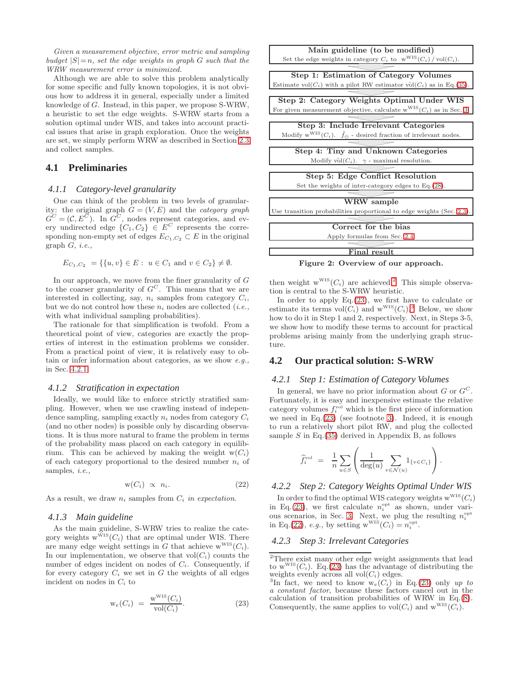Given a measurement objective, error metric and sampling budget  $|S|=n$ , set the edge weights in graph G such that the WRW measurement error is minimized.

Although we are able to solve this problem analytically for some specific and fully known topologies, it is not obvious how to address it in general, especially under a limited knowledge of G. Instead, in this paper, we propose S-WRW, a heuristic to set the edge weights. S-WRW starts from a solution optimal under WIS, and takes into account practical issues that arise in graph exploration. Once the weights are set, we simply perform WRW as described in Section [2.3](#page-2-2) and collect samples.

# **4.1 Preliminaries**

### *4.1.1 Category-level granularity*

One can think of the problem in two levels of granularity: the original graph  $G = (V, E)$  and the *category graph*  $G^C = (\mathcal{C}, E^C)$ . In  $G^C$ , nodes represent categories, and every undirected edge  $\{C_1, C_2\} \in E^C$  represents the corresponding non-empty set of edges  $E_{C_1,C_2} \subset E$  in the original graph G, i.e.,

$$
E_{C_1, C_2} = \{ \{u, v\} \in E : u \in C_1 \text{ and } v \in C_2 \} \neq \emptyset.
$$

In our approach, we move from the finer granularity of G to the coarser granularity of  $G^C$ . This means that we are interested in collecting, say,  $n_i$  samples from category  $C_i$ , but we do not control how these  $n_i$  nodes are collected (*i.e.*, with what individual sampling probabilities).

The rationale for that simplification is twofold. From a theoretical point of view, categories are exactly the properties of interest in the estimation problems we consider. From a practical point of view, it is relatively easy to obtain or infer information about categories, as we show e.g., in Sec. [4.2.1.](#page-4-0)

#### *4.1.2 Stratification in expectation*

Ideally, we would like to enforce strictly stratified sampling. However, when we use crawling instead of independence sampling, sampling exactly  $n_i$  nodes from category  $C_i$ (and no other nodes) is possible only by discarding observations. It is thus more natural to frame the problem in terms of the probability mass placed on each category in equilibrium. This can be achieved by making the weight  $w(C_i)$ of each category proportional to the desired number  $n_i$  of samples, *i.e.*,

<span id="page-4-4"></span>
$$
w(C_i) \propto n_i. \tag{22}
$$

As a result, we draw  $n_i$  samples from  $C_i$  in expectation.

### *4.1.3 Main guideline*

As the main guideline, S-WRW tries to realize the category weights  $w^{WIS}(C_i)$  that are optimal under WIS. There are many edge weight settings in G that achieve  $w^{WIS}(C_i)$ . In our implementation, we observe that  $vol(C_i)$  counts the number of edges incident on nodes of  $C_i$ . Consequently, if for every category  $C_i$  we set in  $G$  the weights of all edges incident on nodes in  $C_i$  to

<span id="page-4-2"></span>
$$
\mathbf{w}_e(C_i) = \frac{\mathbf{w}^{\text{WIS}}(C_i)}{\text{vol}(C_i)}.
$$
 (23)



Figure 2: Overview of our approach.

then weight  $w^{WIS}(C_i)$  are achieved.<sup>[2](#page-4-1)</sup> This simple observation is central to the S-WRW heuristic.

In order to apply  $Eq.(23)$  $Eq.(23)$ , we first have to calculate or estimate its terms  $vol(C_i)$  and  $w^{WIS}(C_i)$ .<sup>[3](#page-4-3)</sup> Below, we show how to do it in Step 1 and 2, respectively. Next, in Steps 3-5, we show how to modify these terms to account for practical problems arising mainly from the underlying graph structure.

# **4.2 Our practical solution: S-WRW**

### <span id="page-4-0"></span>*4.2.1 Step 1: Estimation of Category Volumes*

In general, we have no prior information about  $G$  or  $G^C$ . Fortunately, it is easy and inexpensive estimate the relative category volumes  $f_i^{\text{vol}}$  which is the first piece of information we need in Eq.[\(23\)](#page-4-2) (see footnote [3\)](#page-4-3). Indeed, it is enough to run a relatively short pilot RW, and plug the collected sample  $S$  in Eq.[\(35\)](#page-12-6) derived in Appendix B, as follows

$$
\widehat{f}_i^{\text{vol}} = \frac{1}{n} \sum_{u \in S} \left( \frac{1}{\deg(u)} \sum_{v \in \mathcal{N}(u)} 1_{\{v \in C_i\}} \right).
$$

### *4.2.2 Step 2: Category Weights Optimal Under WIS*

In order to find the optimal WIS category weights  $w^{WIS}(C_i)$ in Eq.[\(23\)](#page-4-2), we first calculate  $n_i^{\text{opt}}$  as shown, under vari-ous scenarios, in Sec. [3.](#page-2-3) Next, we plug the resulting  $n_i^{\text{opt}}$ in Eq.[\(22\)](#page-4-4), *e.g.*, by setting  $w^{WIS}(C_i) = n_i^{opt}$ .

#### <span id="page-4-5"></span>*4.2.3 Step 3: Irrelevant Categories*

<span id="page-4-1"></span><sup>2</sup>There exist many other edge weight assignments that lead to  $w^{WIS}(C_i)$ . Eq.[\(23\)](#page-4-2) has the advantage of distributing the weights evenly across all  $vol(C_i)$  edges.

<span id="page-4-3"></span><sup>&</sup>lt;sup>3</sup>In fact, we need to know  $w_e(C_i)$  in Eq.[\(23\)](#page-4-2) only up to a constant factor, because these factors cancel out in the calculation of transition probabilities of WRW in Eq.[\(8\)](#page-2-4). Consequently, the same applies to  $vol(C_i)$  and  $w^{WIS}(C_i)$ .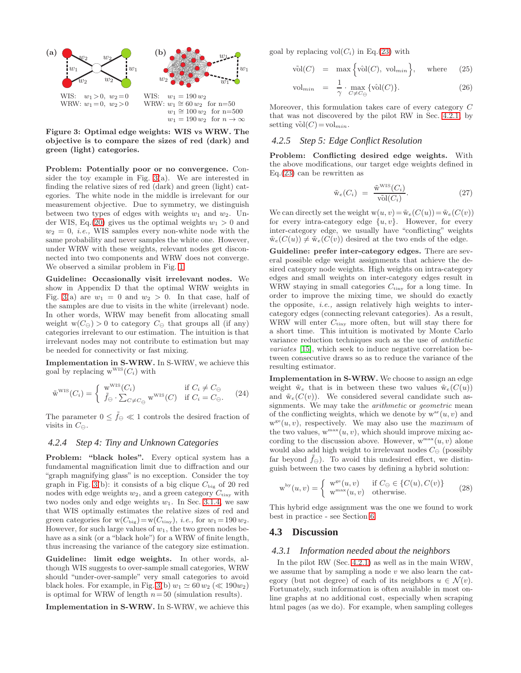

<span id="page-5-1"></span>Figure 3: Optimal edge weights: WIS vs WRW. The objective is to compare the sizes of red (dark) and green (light) categories.

Problem: Potentially poor or no convergence. Consider the toy example in Fig.  $3(a)$ . We are interested in finding the relative sizes of red (dark) and green (light) categories. The white node in the middle is irrelevant for our measurement objective. Due to symmetry, we distinguish between two types of edges with weights  $w_1$  and  $w_2$ . Un-der WIS, Eq.[\(20\)](#page-3-3) gives us the optimal weights  $w_1 > 0$  and  $w_2 = 0$ , *i.e.*, WIS samples every non-white node with the same probability and never samples the white one. However, under WRW with these weights, relevant nodes get disconnected into two components and WRW does not converge. We observed a similar problem in Fig. [1.](#page-1-0)

Guideline: Occasionally visit irrelevant nodes. We show in Appendix D that the optimal WRW weights in Fig. [3\(](#page-5-1)a) are  $w_1 = 0$  and  $w_2 > 0$ . In that case, half of the samples are due to visits in the white (irrelevant) node. In other words, WRW may benefit from allocating small weight  $w(C_{\ominus}) > 0$  to category  $C_{\ominus}$  that groups all (if any) categories irrelevant to our estimation. The intuition is that irrelevant nodes may not contribute to estimation but may be needed for connectivity or fast mixing.

Implementation in S-WRW. In S-WRW, we achieve this goal by replacing  $w^{WIS}(C_i)$  with

$$
\tilde{\mathbf{w}}^{\text{WIS}}(C_i) = \begin{cases}\n\mathbf{w}^{\text{WIS}}(C_i) & \text{if } C_i \neq C_{\ominus} \\
\tilde{f}_{\ominus} \cdot \sum_{C \neq C_{\ominus}} \mathbf{w}^{\text{WIS}}(C) & \text{if } C_i = C_{\ominus}.\n\end{cases}
$$
\n(24)

The parameter  $0 \leq \tilde{f}_{\Theta} \ll 1$  controls the desired fraction of visits in  $C_{\ominus}$ .

#### <span id="page-5-2"></span>*4.2.4 Step 4: Tiny and Unknown Categories*

Problem: "black holes". Every optical system has a fundamental magnification limit due to diffraction and our "graph magnifying glass" is no exception. Consider the toy graph in Fig. [3\(](#page-5-1)b): it consists of a big clique  $C_{\text{big}}$  of 20 red nodes with edge weights  $w_2$ , and a green category  $C_{\text{tiny}}$  with two nodes only and edge weights  $w_1$ . In Sec. [3.1.4,](#page-3-7) we saw that WIS optimally estimates the relative sizes of red and green categories for  $w(C_{\text{bie}}) = w(C_{\text{tiny}}), i.e.,$  for  $w_1 = 190 w_2$ . However, for such large values of  $w_1$ , the two green nodes behave as a sink (or a "black hole") for a WRW of finite length, thus increasing the variance of the category size estimation.

Guideline: limit edge weights. In other words, although WIS suggests to over-sample small categories, WRW should "under-over-sample" very small categories to avoid black holes. For example, in Fig. [3\(](#page-5-1)b)  $w_1 \simeq 60 w_2 (\ll 190 w_2)$ is optimal for WRW of length  $n=50$  (simulation results).

Implementation in S-WRW. In S-WRW, we achieve this

goal by replacing  $vol(C_i)$  in Eq.[\(23\)](#page-4-2) with

<span id="page-5-3"></span>
$$
\text{võl}(C) = \max\left\{\text{vôl}(C), \text{ vol}_{min}\right\}, \quad \text{where} \quad (25)
$$

$$
\text{vol}_{min} = \frac{1}{\gamma} \cdot \max_{C \neq C_{\ominus}} \{ \text{vol}(C) \}. \tag{26}
$$

Moreover, this formulation takes care of every category C that was not discovered by the pilot RW in Sec. [4.2.1,](#page-4-0) by setting  $v\tilde{o}l(C) = vol_{min}$ .

# <span id="page-5-4"></span>*4.2.5 Step 5: Edge Conflict Resolution*

Problem: Conflicting desired edge weights. With the above modifications, our target edge weights defined in Eq.[\(23\)](#page-4-2) can be rewritten as

<span id="page-5-5"></span>
$$
\tilde{\mathbf{w}}_e(C_i) = \frac{\tilde{\mathbf{w}}^{\text{WIS}}(C_i)}{\tilde{\text{vol}}(C_i)}.
$$
\n(27)

We can directly set the weight  $w(u, v) = \tilde{w}_e(C(u)) = \tilde{w}_e(C(v))$ for every intra-category edge  $\{u, v\}$ . However, for every inter-category edge, we usually have "conflicting" weights  $\tilde{w}_e(C(u)) \neq \tilde{w}_e(C(v))$  desired at the two ends of the edge.

Guideline: prefer inter-category edges. There are several possible edge weight assignments that achieve the desired category node weights. High weights on intra-category edges and small weights on inter-category edges result in WRW staying in small categories  $C_{\text{tiny}}$  for a long time. In order to improve the mixing time, we should do exactly the opposite, i.e., assign relatively high weights to intercategory edges (connecting relevant categories). As a result, WRW will enter  $C_{\text{tiny}}$  more often, but will stay there for a short time. This intuition is motivated by Monte Carlo variance reduction techniques such as the use of antithetic variates [\[15\]](#page-11-9), which seek to induce negative correlation between consecutive draws so as to reduce the variance of the resulting estimator.

Implementation in S-WRW. We choose to assign an edge weight  $\tilde{w}_e$  that is in between these two values  $\tilde{w}_e(C(u))$ and  $\tilde{w}_e(C(v))$ . We considered several candidate such assignments. We may take the *arithmetic* or *geometric* mean of the conflicting weights, which we denote by  $w^{ar}(u, v)$  and  $w^{\text{ge}}(u, v)$ , respectively. We may also use the *maximum* of the two values,  $w^{max}(u, v)$ , which should improve mixing according to the discussion above. However,  $w^{\max}(u, v)$  alone would also add high weight to irrelevant nodes  $C_{\ominus}$  (possibly far beyond  $f_{\ominus}$ ). To avoid this undesired effect, we distinguish between the two cases by defining a hybrid solution:

<span id="page-5-0"></span>
$$
\mathbf{w}^{\text{hy}}(u,v) = \begin{cases} \mathbf{w}^{\text{ge}}(u,v) & \text{if } C_{\ominus} \in \{C(u), C(v)\} \\ \mathbf{w}^{\text{max}}(u,v) & \text{otherwise.} \end{cases}
$$
(28)

This hybrid edge assignment was the one we found to work best in practice - see Section [6.](#page-8-0)

### **4.3 Discussion**

#### *4.3.1 Information needed about the neighbors*

In the pilot RW (Sec. [4.2.1\)](#page-4-0) as well as in the main WRW, we assume that by sampling a node  $v$  we also learn the category (but not degree) of each of its neighbors  $u \in \mathcal{N}(v)$ . Fortunately, such information is often available in most online graphs at no additional cost, especially when scraping html pages (as we do). For example, when sampling colleges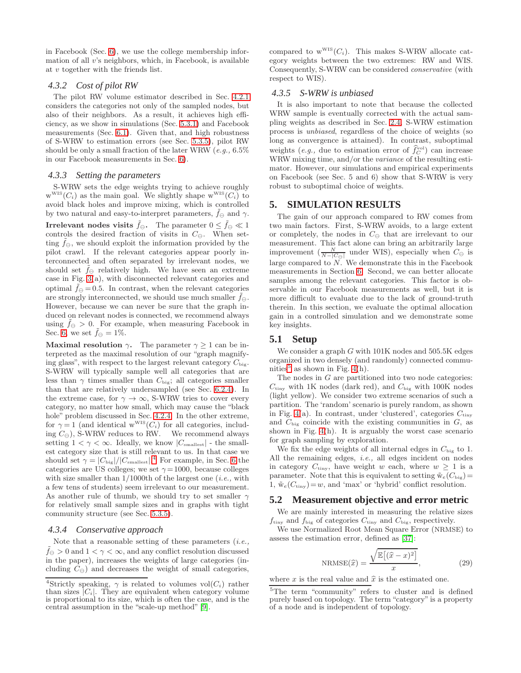in Facebook (Sec. [6\)](#page-8-0), we use the college membership information of all  $v$ 's neighbors, which, in Facebook, is available at v together with the friends list.

### <span id="page-6-2"></span>*4.3.2 Cost of pilot RW*

The pilot RW volume estimator described in Sec. [4.2.1](#page-4-0) considers the categories not only of the sampled nodes, but also of their neighbors. As a result, it achieves high efficiency, as we show in simulations (Sec. [5.3.1\)](#page-7-0) and Facebook measurements (Sec. [6.1\)](#page-8-1). Given that, and high robustness of S-WRW to estimation errors (see Sec. [5.3.5\)](#page-8-2), pilot RW should be only a small fraction of the later WRW (e.g.,  $6.5\%$ ) in our Facebook measurements in Sec. [6\)](#page-8-0).

#### <span id="page-6-3"></span>*4.3.3 Setting the parameters*

S-WRW sets the edge weights trying to achieve roughly  $\mathbf{w}^{\text{WIS}}(C_i)$  as the main goal. We slightly shape  $\mathbf{w}^{\text{WIS}}(C_i)$  to avoid black holes and improve mixing, which is controlled by two natural and easy-to-interpret parameters,  $f_{\Theta}$  and  $\gamma$ . **Irrelevant nodes visits**  $\tilde{f}_{\Theta}$ . The parameter  $0 \leq \tilde{f}_{\Theta} \ll 1$ controls the desired fraction of visits in  $C_{\ominus}$ . When setting  $\tilde{f}_{\Theta}$ , we should exploit the information provided by the pilot crawl. If the relevant categories appear poorly interconnected and often separated by irrelevant nodes, we should set  $f_{\Theta}$  relatively high. We have seen an extreme case in Fig. [3\(](#page-5-1)a), with disconnected relevant categories and optimal  $\tilde{f}_{\Theta} = 0.5$ . In contrast, when the relevant categories are strongly interconnected, we should use much smaller  $f_{\Theta}$ . However, because we can never be sure that the graph induced on relevant nodes is connected, we recommend always using  $f_{\Theta} > 0$ . For example, when measuring Facebook in Sec. [6,](#page-8-0) we set  $\tilde{f}_{\Theta} = 1\%$ .

**Maximal resolution γ.** The parameter  $\gamma \geq 1$  can be interpreted as the maximal resolution of our "graph magnifying glass", with respect to the largest relevant category  $C_{\text{big}}$ . S-WRW will typically sample well all categories that are less than  $\gamma$  times smaller than  $C_{\text{big}}$ ; all categories smaller than that are relatively undersampled (see Sec. [6.2.4\)](#page-9-0). In the extreme case, for  $\gamma \to \infty$ , S-WRW tries to cover every category, no matter how small, which may cause the "black hole" problem discussed in Sec. [4.2.4.](#page-5-2) In the other extreme, for  $\gamma = 1$  (and identical w<sup>WIS</sup>( $C_i$ ) for all categories, including  $C_{\ominus}$ ), S-WRW reduces to RW. We recommend always setting  $1 < \gamma < \infty$ . Ideally, we know  $|C_{\text{smallest}}|$  - the smallest category size that is still relevant to us. In that case we should set  $\gamma = |C_{\text{big}}|/|C_{\text{smallest}}|$ .<sup>[4](#page-6-0)</sup> For example, in Sec. [6](#page-8-0) the categories are US colleges; we set  $\gamma = 1000$ , because colleges with size smaller than  $1/1000$ th of the largest one *(i.e.*, with a few tens of students) seem irrelevant to our measurement. As another rule of thumb, we should try to set smaller  $\gamma$ for relatively small sample sizes and in graphs with tight community structure (see Sec. [5.3.5\)](#page-8-2).

#### *4.3.4 Conservative approach*

Note that a reasonable setting of these parameters  $(i.e.,$  $f_{\Theta} > 0$  and  $1 < \gamma < \infty$ , and any conflict resolution discussed in the paper), increases the weights of large categories (including  $C_{\ominus}$  and decreases the weight of small categories,

compared to  $w^{WIS}(C_i)$ . This makes S-WRW allocate category weights between the two extremes: RW and WIS. Consequently, S-WRW can be considered conservative (with respect to WIS).

### *4.3.5 S-WRW is unbiased*

It is also important to note that because the collected WRW sample is eventually corrected with the actual sampling weights as described in Sec. [2.4,](#page-2-0) S-WRW estimation process is unbiased, regardless of the choice of weights (so long as convergence is attained). In contrast, suboptimal weights (e.g., due to estimation error of  $f_C^{\text{vol}}$ ) can increase WRW mixing time, and/or the variance of the resulting estimator. However, our simulations and empirical experiments on Facebook (see Sec. 5 and 6) show that S-WRW is very robust to suboptimal choice of weights.

# **5. SIMULATION RESULTS**

The gain of our approach compared to RW comes from two main factors. First, S-WRW avoids, to a large extent or completely, the nodes in  $C_{\ominus}$  that are irrelevant to our measurement. This fact alone can bring an arbitrarily large improvement  $\left(\frac{N}{N-|C_{\ominus}|}\right)$  under WIS), especially when  $C_{\ominus}$  is large compared to N. We demonstrate this in the Facebook measurements in Section [6.](#page-8-0) Second, we can better allocate samples among the relevant categories. This factor is observable in our Facebook measurements as well, but it is more difficult to evaluate due to the lack of ground-truth therein. In this section, we evaluate the optimal allocation gain in a controlled simulation and we demonstrate some key insights.

# **5.1 Setup**

We consider a graph  $G$  with  $101K$  nodes and  $505.5K$  edges organized in two densely (and randomly) connected commu-nities<sup>[5](#page-6-1)</sup> as shown in Fig.  $4(h)$ .

The nodes in  $G$  are partitioned into two node categories:  $C_{\text{tiny}}$  with 1K nodes (dark red), and  $C_{\text{big}}$  with 100K nodes (light yellow). We consider two extreme scenarios of such a partition. The 'random' scenario is purely random, as shown in Fig. [4\(](#page-7-1)a). In contrast, under 'clustered', categories  $C_{\text{tiny}}$ and  $C_{\text{big}}$  coincide with the existing communities in  $G$ , as shown in Fig. [4\(](#page-7-1)h). It is arguably the worst case scenario for graph sampling by exploration.

We fix the edge weights of all internal edges in  $C_{\text{big}}$  to 1. All the remaining edges, i.e., all edges incident on nodes in category  $C_{\text{tiny}}$ , have weight w each, where  $w \geq 1$  is a parameter. Note that this is equivalent to setting  $\tilde{w}_e(C_{\text{big}})=$ 1,  $\tilde{w}_e(C_{\text{tiny}})=w$ , and 'max' or 'hybrid' conflict resolution.

### **5.2 Measurement objective and error metric**

We are mainly interested in measuring the relative sizes  $f_{\text{tiny}}$  and  $f_{\text{big}}$  of categories  $C_{\text{tiny}}$  and  $C_{\text{big}}$ , respectively.

We use Normalized Root Mean Square Error (NRMSE) to assess the estimation error, defined as [\[37\]](#page-12-7):

$$
NRMSE(\hat{x}) = \frac{\sqrt{\mathbb{E}\left[ (\hat{x} - x)^2 \right]}}{x},
$$
\n(29)

where x is the real value and  $\hat{x}$  is the estimated one.

<span id="page-6-0"></span><sup>&</sup>lt;sup>4</sup>Strictly speaking,  $\gamma$  is related to volumes vol $(C_i)$  rather than sizes  $|C_i|$ . They are equivalent when category volume is proportional to its size, which is often the case, and is the central assumption in the "scale-up method" [\[9\]](#page-11-10).

<span id="page-6-1"></span><sup>5</sup>The term "community" refers to cluster and is defined purely based on topology. The term "category" is a property of a node and is independent of topology.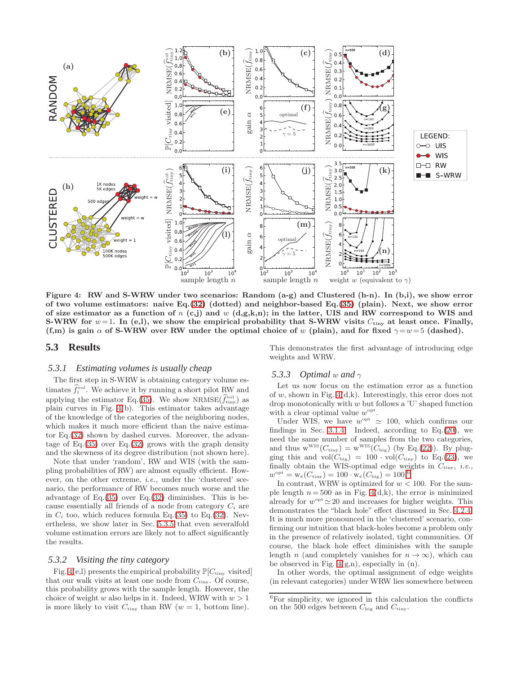

<span id="page-7-1"></span>Figure 4: RW and S-WRW under two scenarios: Random (a-g) and Clustered (h-n). In (b,i), we show error of two volume estimators: naive Eq.[\(32\)](#page-12-8) (dotted) and neighbor-based Eq.[\(35\)](#page-12-6) (plain). Next, we show error of size estimator as a function of  $n$  (c,j) and w (d,g,k,n); in the latter, UIS and RW correspond to WIS and S-WRW for  $w=1$ . In (e,l), we show the empirical probability that S-WRW visits  $C_{\text{tiny}}$  at least once. Finally, (f,m) is gain  $\alpha$  of S-WRW over RW under the optimal choice of w (plain), and for fixed  $\gamma = w = 5$  (dashed).

### **5.3 Results**

#### <span id="page-7-0"></span>*5.3.1 Estimating volumes is usually cheap*

The first step in S-WRW is obtaining category volume estimates  $\hat{f}_i^{\text{vol}}$ . We achieve it by running a short pilot RW and applying the estimator Eq.[\(35\)](#page-12-6). We show NRMSE $(f_{\text{tiny}}^{\text{vol}})$  as plain curves in Fig. [4\(](#page-7-1)b). This estimator takes advantage of the knowledge of the categories of the neighboring nodes, which makes it much more efficient than the naive estimator Eq.[\(32\)](#page-12-8) shown by dashed curves. Moreover, the advantage of Eq. $(35)$  over Eq. $(32)$  grows with the graph density and the skewness of its degree distribution (not shown here).

Note that under 'random', RW and WIS (with the sampling probabilities of RW) are almost equally efficient. However, on the other extreme, i.e., under the 'clustered' scenario, the performance of RW becomes much worse and the advantage of Eq. $(35)$  over Eq. $(32)$  diminishes. This is because essentially all friends of a node from category  $C_i$  are in  $C_i$  too, which reduces formula Eq.[\(35\)](#page-12-6) to Eq.[\(32\)](#page-12-8). Nevertheless, we show later in Sec. [5.3.5](#page-8-2) that even severalfold volume estimation errors are likely not to affect significantly the results.

### *5.3.2 Visiting the tiny category*

Fig. [4\(](#page-7-1)e,l) presents the empirical probability  $\mathbb{P}[C_{\text{tiny}}$  visited that our walk visits at least one node from  $C_{\text{tiny}}$ . Of course, this probability grows with the sample length. However, the choice of weight w also helps in it. Indeed, WRW with  $w > 1$ is more likely to visit  $C_{\text{tiny}}$  than RW ( $w = 1$ , bottom line).

This demonstrates the first advantage of introducing edge weights and WRW.

#### *5.3.3 Optimal* w *and* γ

Let us now focus on the estimation error as a function of w, shown in Fig.  $4(d,k)$ . Interestingly, this error does not drop monotonically with  $w$  but follows a 'U' shaped function with a clear optimal value  $w^{\text{opt}}$ .

Under WIS, we have  $w^{\text{opt}} \simeq 100$ , which confirms our findings in Sec. [3.1.4.](#page-3-7) Indeed, according to Eq. $(20)$ , we need the same number of samples from the two categories, and thus  $w^{WIS}(C_{\text{tiny}}) = w^{WIS}(C_{\text{big}})$  (by Eq.[\(22\)](#page-4-4)). By plugging this and  $vol(C_{\text{big}}) = 100 \cdot vol(C_{\text{tiny}})$  to Eq.[\(23\)](#page-4-2), we finally obtain the WIS-optimal edge weights in  $C_{\text{tiny}}$ , *i.e.*,  $w^{\text{opt}} = w_e(C_{\text{tiny}}) = 100 \cdot w_e(C_{\text{big}}) = 100.6$  $w^{\text{opt}} = w_e(C_{\text{tiny}}) = 100 \cdot w_e(C_{\text{big}}) = 100.6$ 

In contrast, WRW is optimized for  $w < 100$ . For the sample length  $n = 500$  as in Fig. [4\(](#page-7-1)d,k), the error is minimized already for  $w^{\text{opt}} \simeq 20$  and increases for higher weights. This demonstrates the "black hole" effect discussed in Sec. [4.2.4.](#page-5-2) It is much more pronounced in the 'clustered' scenario, confirming our intuition that black-holes become a problem only in the presence of relatively isolated, tight communities. Of course, the black hole effect diminishes with the sample length n (and completely vanishes for  $n \to \infty$ ), which can be observed in Fig.  $4(g,n)$ , especially in  $(n)$ .

In other words, the optimal assignment of edge weights (in relevant categories) under WRW lies somewhere between

<span id="page-7-2"></span> ${}^{6}$ For simplicity, we ignored in this calculation the conflicts on the 500 edges between  $C_{\text{big}}$  and  $C_{\text{tiny}}$ .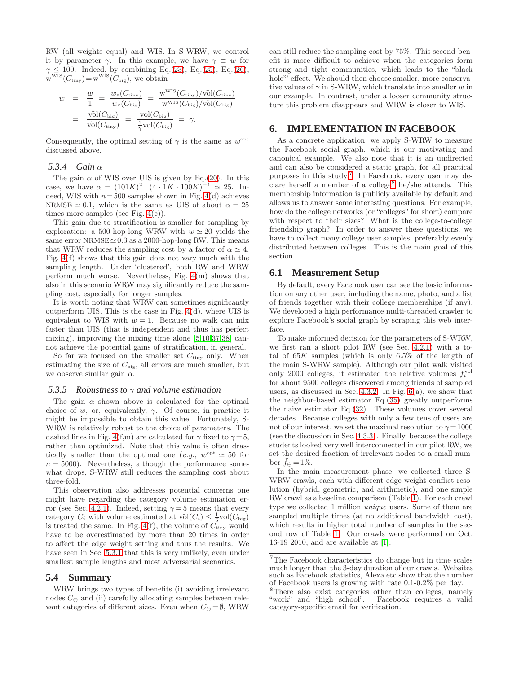RW (all weights equal) and WIS. In S-WRW, we control it by parameter  $\gamma$ . In this example, we have  $\gamma \equiv w$  for  $\gamma \le 100$ . Indeed, by combining Eq.[\(23\)](#page-4-2), Eq.[\(25\)](#page-5-3), Eq.[\(26\)](#page-5-3),  $w^{WIS}(C_{\text{tiny}}) = w^{WIS}(C_{\text{big}})$ , we obtain

$$
w = \frac{w}{1} = \frac{w_e(C_{\text{tiny}})}{w_e(C_{\text{big}})} = \frac{w^{\text{WIS}}(C_{\text{tiny}}) / \tilde{\text{vol}}(C_{\text{tiny}})}{w^{\text{WIS}}(C_{\text{big}}) / \tilde{\text{vol}}(C_{\text{big}})}
$$
  
= 
$$
\frac{\tilde{\text{vol}}(C_{\text{big}})}{\tilde{\text{vol}}(C_{\text{tiny}})} = \frac{\text{vol}(C_{\text{big}})}{\frac{1}{\gamma} \text{vol}(C_{\text{big}})} = \gamma.
$$

Consequently, the optimal setting of  $\gamma$  is the same as  $w^{\text{opt}}$ discussed above.

#### *5.3.4 Gain* α

The gain  $\alpha$  of WIS over UIS is given by Eq.[\(20\)](#page-3-3). In this case, we have  $\alpha = (101K)^2 \cdot (4 \cdot 1K \cdot 100K)^{-1} \simeq 25$ . Indeed, WIS with  $n = 500$  samples shown in Fig. [4\(](#page-7-1)d) achieves NRMSE  $\simeq 0.1$ , which is the same as UIS of about  $\alpha = 25$ times more samples (see Fig.  $4(c)$ ).

This gain due to stratification is smaller for sampling by exploration: a 500-hop-long WRW with  $w \approx 20$  yields the same error NRMSE $\simeq$  0.3 as a 2000-hop-long RW. This means that WRW reduces the sampling cost by a factor of  $\alpha \simeq 4$ . Fig. [4\(](#page-7-1)f) shows that this gain does not vary much with the sampling length. Under 'clustered', both RW and WRW perform much worse. Nevertheless, Fig. [4\(](#page-7-1)m) shows that also in this scenario WRW may significantly reduce the sampling cost, especially for longer samples.

It is worth noting that WRW can sometimes significantly outperform UIS. This is the case in Fig. [4\(](#page-7-1)d), where UIS is equivalent to WIS with  $w = 1$ . Because no walk can mix faster than UIS (that is independent and thus has perfect mixing), improving the mixing time alone [\[5,](#page-11-11)[10](#page-11-12)[,37](#page-12-7)[,38\]](#page-12-9) cannot achieve the potential gains of stratification, in general.

So far we focused on the smaller set  $C_{\text{tiny}}$  only. When estimating the size of  $C_{\text{big}}$ , all errors are much smaller, but we observe similar gain  $\alpha$ .

### <span id="page-8-2"></span>*5.3.5 Robustness to* γ *and volume estimation*

The gain  $\alpha$  shown above is calculated for the optimal choice of w, or, equivalently,  $\gamma$ . Of course, in practice it might be impossible to obtain this value. Fortunately, S-WRW is relatively robust to the choice of parameters. The dashed lines in Fig. [4\(](#page-7-1)f,m) are calculated for  $\gamma$  fixed to  $\gamma = 5$ , rather than optimized. Note that this value is often drastically smaller than the optimal one (e.g.,  $w^{\text{opt}} \simeq 50$  for  $n = 5000$ . Nevertheless, although the performance somewhat drops, S-WRW still reduces the sampling cost about three-fold.

This observation also addresses potential concerns one might have regarding the category volume estimation er-ror (see Sec. [4.2.1\)](#page-4-0). Indeed, setting  $\gamma = 5$  means that every category  $C_i$  with volume estimated at  $\text{vol}(C_i) \leq \frac{1}{5} \text{vol}(C_{\text{big}})$ is treated the same. In Fig. [4\(](#page-7-1)f), the volume of  $C_{\text{tiny}}$  would have to be overestimated by more than 20 times in order to affect the edge weight setting and thus the results. We have seen in Sec. [5.3.1](#page-7-0) that this is very unlikely, even under smallest sample lengths and most adversarial scenarios.

### **5.4 Summary**

WRW brings two types of benefits (i) avoiding irrelevant nodes  $C_{\ominus}$  and (ii) carefully allocating samples between relevant categories of different sizes. Even when  $C_{\ominus} = \emptyset$ , WRW can still reduce the sampling cost by 75%. This second benefit is more difficult to achieve when the categories form strong and tight communities, which leads to the "black hole"' effect. We should then choose smaller, more conservative values of  $\gamma$  in S-WRW, which translate into smaller w in our example. In contrast, under a looser community structure this problem disappears and WRW is closer to WIS.

# <span id="page-8-0"></span>**6. IMPLEMENTATION IN FACEBOOK**

As a concrete application, we apply S-WRW to measure the Facebook social graph, which is our motivating and canonical example. We also note that it is an undirected and can also be considered a static graph, for all practical purposes in this study.<sup>[7](#page-8-3)</sup> In Facebook, every user may de-clare herself a member of a college<sup>[8](#page-8-4)</sup> he/she attends. This membership information is publicly available by default and allows us to answer some interesting questions. For example, how do the college networks (or "colleges" for short) compare with respect to their sizes? What is the college-to-college friendship graph? In order to answer these questions, we have to collect many college user samples, preferably evenly distributed between colleges. This is the main goal of this section.

#### <span id="page-8-1"></span>**6.1 Measurement Setup**

By default, every Facebook user can see the basic information on any other user, including the name, photo, and a list of friends together with their college memberships (if any). We developed a high performance multi-threaded crawler to explore Facebook's social graph by scraping this web interface.

To make informed decision for the parameters of S-WRW, we first ran a short pilot RW (see Sec. [4.2.1\)](#page-4-0) with a total of  $65K$  samples (which is only  $6.5\%$  of the length of the main S-WRW sample). Although our pilot walk visited only 2000 colleges, it estimated the relative volumes  $f_i^{\text{vol}}$ for about 9500 colleges discovered among friends of sampled users, as discussed in Sec. [4.3.2.](#page-6-2) In Fig. [6\(](#page-10-1)a), we show that the neighbor-based estimator Eq.[\(35\)](#page-12-6) greatly outperforms the naive estimator Eq.[\(32\)](#page-12-8). These volumes cover several decades. Because colleges with only a few tens of users are not of our interest, we set the maximal resolution to  $\gamma\!=\!1000$ (see the discussion in Sec. [4.3.3\)](#page-6-3). Finally, because the college students looked very well interconnected in our pilot RW, we set the desired fraction of irrelevant nodes to a small number  $\tilde{f}_\Theta = 1\%$ .

In the main measurement phase, we collected three S-WRW crawls, each with different edge weight conflict resolution (hybrid, geometric, and arithmetic), and one simple RW crawl as a baseline comparison (Table [1\)](#page-9-1). For each crawl type we collected 1 million unique users. Some of them are sampled multiple times (at no additional bandwidth cost), which results in higher total number of samples in the second row of Table [1.](#page-9-1) Our crawls were performed on Oct. 16-19 2010, and are available at [\[1\]](#page-11-13).

<span id="page-8-3"></span><sup>7</sup>The Facebook characteristics do change but in time scales much longer than the 3-day duration of our crawls. Websites such as Facebook statistics, Alexa etc show that the number of Facebook users is growing with rate 0.1-0.2% per day.

<span id="page-8-4"></span><sup>8</sup>There also exist categories other than colleges, namely "work" and "high school". Facebook requires a valid category-specific email for verification.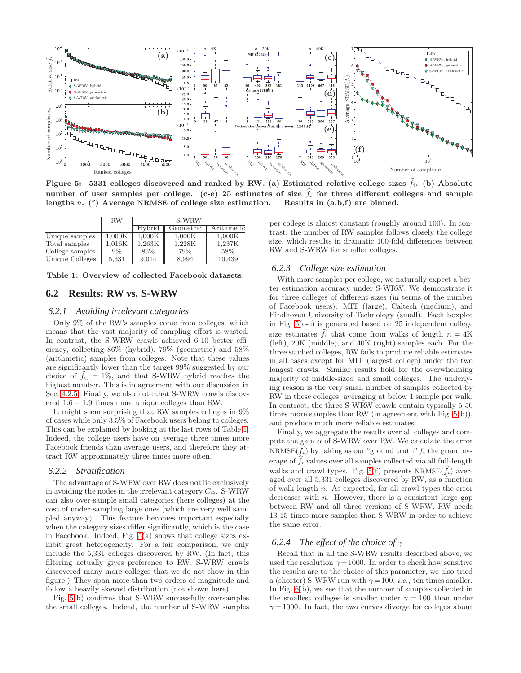

<span id="page-9-2"></span>Figure 5: 5331 colleges discovered and ranked by RW. (a) Estimated relative college sizes  $f_i$ . (b) Absolute number of user samples per college. (c-e) 25 estimates of size  $\hat{f}_i$  for three different colleges and sample lengths *n*. (f) Average NRMSE of college size estimation. Results in (a,b,f) are binned. lengths  $n.$  (f) Average NRMSE of college size estimation.

|                 | RW     | S-WRW             |           |            |
|-----------------|--------|-------------------|-----------|------------|
|                 |        | Hvbrid            | Geometric | Arithmetic |
| Unique samples  | 1.000K | $1.000\mathrm{K}$ | 1.000K    | 1.000K     |
| Total samples   | 1.016K | 1.263K            | 1.228K    | 1.237K     |
| College samples | $9\%$  | 86\%              | 79%       | 58%        |
| Unique Colleges | 5,331  | 9,014             | 8.994     | 10.439     |

<span id="page-9-1"></span>Table 1: Overview of collected Facebook datasets.

# **6.2 Results: RW vs. S-WRW**

### *6.2.1 Avoiding irrelevant categories*

Only 9% of the RW's samples come from colleges, which means that the vast majority of sampling effort is wasted. In contrast, the S-WRW crawls achieved 6-10 better efficiency, collecting 86% (hybrid), 79% (geometric) and 58% (arithmetic) samples from colleges. Note that these values are significantly lower than the target 99% suggested by our choice of  $f_{\Theta} = 1\%$ , and that S-WRW hybrid reaches the highest number. This is in agreement with our discussion in Sec. [4.2.5.](#page-5-4) Finally, we also note that S-WRW crawls discovered  $1.6 - 1.9$  times more unique colleges than RW.

It might seem surprising that RW samples colleges in 9% of cases while only 3.5% of Facebook users belong to colleges. This can be explained by looking at the last rows of Table [1.](#page-9-1) Indeed, the college users have on average three times more Facebook friends than average users, and therefore they attract RW approximately three times more often.

### *6.2.2 Stratification*

The advantage of S-WRW over RW does not lie exclusively in avoiding the nodes in the irrelevant category  $C_{\ominus}$ . S-WRW can also over-sample small categories (here colleges) at the cost of under-sampling large ones (which are very well sampled anyway). This feature becomes important especially when the category sizes differ significantly, which is the case in Facebook. Indeed, Fig. [5\(](#page-9-2)a) shows that college sizes exhibit great heterogeneity. For a fair comparison, we only include the 5,331 colleges discovered by RW. (In fact, this filtering actually gives preference to RW. S-WRW crawls discovered many more colleges that we do not show in this figure.) They span more than two orders of magnitude and follow a heavily skewed distribution (not shown here).

Fig. [5\(](#page-9-2)b) confirms that S-WRW successfully oversamples the small colleges. Indeed, the number of S-WRW samples

per college is almost constant (roughly around 100). In contrast, the number of RW samples follows closely the college size, which results in dramatic 100-fold differences between RW and S-WRW for smaller colleges.

#### *6.2.3 College size estimation*

With more samples per college, we naturally expect a better estimation accuracy under S-WRW. We demonstrate it for three colleges of different sizes (in terms of the number of Facebook users): MIT (large), Caltech (medium), and Eindhoven University of Technology (small). Each boxplot in Fig. [5\(](#page-9-2)c-e) is generated based on 25 independent college size estimates  $\widehat{f}_i$  that come from walks of length  $n = 4K$ (left), 20K (middle), and 40K (right) samples each. For the three studied colleges, RW fails to produce reliable estimates in all cases except for MIT (largest college) under the two longest crawls. Similar results hold for the overwhelming majority of middle-sized and small colleges. The underlying reason is the very small number of samples collected by RW in these colleges, averaging at below 1 sample per walk. In contrast, the three S-WRW crawls contain typically 5-50 times more samples than RW (in agreement with Fig. [5\(](#page-9-2)b)), and produce much more reliable estimates.

Finally, we aggregate the results over all colleges and compute the gain  $\alpha$  of S-WRW over RW. We calculate the error  $NRMSE(f_i)$  by taking as our "ground truth"  $f_i$  the grand average of  $\widehat{f}_i$  values over all samples collected via all full-length walks and crawl types. Fig. [5\(](#page-9-2)f) presents  $NRMSE(\hat{f}_i)$  averaged over all 5,331 colleges discovered by RW, as a function of walk length n. As expected, for all crawl types the error decreases with  $n$ . However, there is a consistent large gap between RW and all three versions of S-WRW. RW needs 13-15 times more samples than S-WRW in order to achieve the same error.

### <span id="page-9-0"></span>*6.2.4 The effect of the choice of* γ

Recall that in all the S-WRW results described above, we used the resolution  $\gamma = 1000$ . In order to check how sensitive the results are to the choice of this parameter, we also tried a (shorter) S-WRW run with  $\gamma = 100$ , *i.e.*, ten times smaller. In Fig. [6\(](#page-10-1)b), we see that the number of samples collected in the smallest colleges is smaller under  $\gamma = 100$  than under  $\gamma = 1000$ . In fact, the two curves diverge for colleges about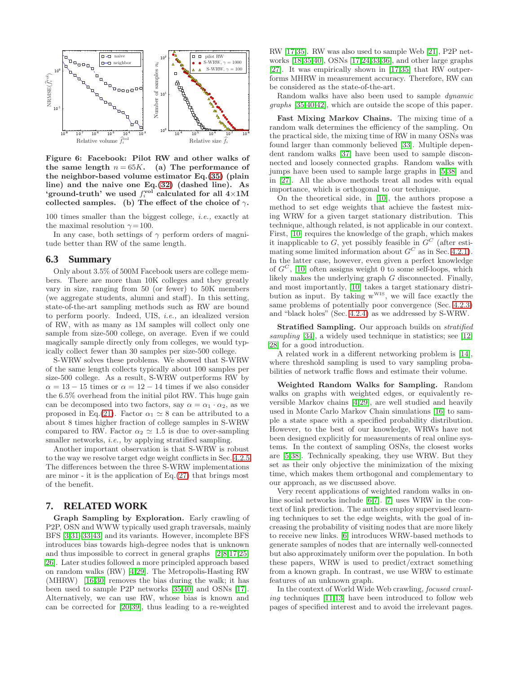

<span id="page-10-1"></span>Figure 6: Facebook: Pilot RW and other walks of the same length  $n = 65K$ . (a) The performance of the neighbor-based volume estimator Eq.[\(35\)](#page-12-6) (plain line) and the naive one Eq.[\(32\)](#page-12-8) (dashed line). As 'ground-truth' we used  $f_i^{\text{vol}}$  calculated for all  $4\times1\text{M}$ collected samples. (b) The effect of the choice of  $\gamma$ .

100 times smaller than the biggest college, i.e., exactly at the maximal resolution  $\gamma = 100$ .

In any case, both settings of  $\gamma$  perform orders of magnitude better than RW of the same length.

### **6.3 Summary**

Only about 3.5% of 500M Facebook users are college members. There are more than 10K colleges and they greatly vary in size, ranging from 50 (or fewer) to 50K members (we aggregate students, alumni and staff). In this setting, state-of-the-art sampling methods such as RW are bound to perform poorly. Indeed, UIS, i.e., an idealized version of RW, with as many as 1M samples will collect only one sample from size-500 college, on average. Even if we could magically sample directly only from colleges, we would typically collect fewer than 30 samples per size-500 college.

S-WRW solves these problems. We showed that S-WRW of the same length collects typically about 100 samples per size-500 college. As a result, S-WRW outperforms RW by  $\alpha = 13 - 15$  times or  $\alpha = 12 - 14$  times if we also consider the 6.5% overhead from the initial pilot RW. This huge gain can be decomposed into two factors, say  $\alpha = \alpha_1 \cdot \alpha_2$ , as we proposed in Eq.[\(21\)](#page-3-8). Factor  $\alpha_1 \simeq 8$  can be attributed to a about 8 times higher fraction of college samples in S-WRW compared to RW. Factor  $\alpha_2 \simeq 1.5$  is due to over-sampling smaller networks, *i.e.*, by applying stratified sampling.

Another important observation is that S-WRW is robust to the way we resolve target edge weight conflicts in Sec. [4.2.5.](#page-5-4) The differences between the three S-WRW implementations are minor - it is the application of Eq.[\(27\)](#page-5-5) that brings most of the benefit.

# <span id="page-10-0"></span>**7. RELATED WORK**

Graph Sampling by Exploration. Early crawling of P2P, OSN and WWW typically used graph traversals, mainly BFS [\[3](#page-11-14)[,31–](#page-11-15)[33](#page-12-10)[,43\]](#page-12-11) and its variants. However, incomplete BFS introduces bias towards high-degree nodes that is unknown and thus impossible to correct in general graphs [\[2,](#page-11-16)[8](#page-11-17)[,17,](#page-11-6)[25,](#page-11-18) [26\]](#page-11-19). Later studies followed a more principled approach based on random walks (RW) [\[4](#page-11-7)[,29\]](#page-11-4). The Metropolis-Hasting RW (MHRW) [\[16](#page-11-20)[,30\]](#page-11-5) removes the bias during the walk; it has been used to sample P2P networks [\[35,](#page-12-1)[40\]](#page-12-2) and OSNs [\[17\]](#page-11-6). Alternatively, we can use RW, whose bias is known and can be corrected for [\[20,](#page-11-21)[39\]](#page-12-4), thus leading to a re-weighted

RW [\[17,](#page-11-6)[35\]](#page-12-1). RW was also used to sample Web [\[21\]](#page-11-22), P2P networks [\[18](#page-11-23)[,35,](#page-12-1)[40\]](#page-12-2), OSNs [\[17](#page-11-6)[,24,](#page-11-24)[33](#page-12-10)[,36\]](#page-12-12), and other large graphs [\[27\]](#page-11-1). It was empirically shown in [\[17](#page-11-6)[,35\]](#page-12-1) that RW outperforms MHRW in measurement accuracy. Therefore, RW can be considered as the state-of-the-art.

Random walks have also been used to sample *dynamic* graphs [\[35,](#page-12-1)[40](#page-12-2)[,42\]](#page-12-3), which are outside the scope of this paper.

Fast Mixing Markov Chains. The mixing time of a random walk determines the efficiency of the sampling. On the practical side, the mixing time of RW in many OSNs was found larger than commonly believed [\[33\]](#page-12-10). Multiple dependent random walks [\[37\]](#page-12-7) have been used to sample disconnected and loosely connected graphs. Random walks with jumps have been used to sample large graphs in [\[5](#page-11-11)[,38\]](#page-12-9) and in [\[27\]](#page-11-1). All the above methods treat all nodes with equal importance, which is orthogonal to our technique.

On the theoretical side, in [\[10\]](#page-11-12), the authors propose a method to set edge weights that achieve the fastest mixing WRW for a given target stationary distribution. This technique, although related, is not applicable in our context. First, [\[10\]](#page-11-12) requires the knowledge of the graph, which makes it inapplicable to G, yet possibly feasible in  $G^C$  (after estimating some limited information about  $G^C$  as in Sec. [4.2.1\)](#page-4-0). In the latter case, however, even given a perfect knowledge of  $G^C$ , [\[10\]](#page-11-12) often assigns weight 0 to some self-loops, which likely makes the underlying graph G disconnected. Finally, and most importantly, [\[10\]](#page-11-12) takes a target stationary distribution as input. By taking  $w^{WIS}$ , we will face exactly the same problems of potentially poor convergence (Sec. [4.2.3\)](#page-4-5) and "black holes" (Sec. [4.2.4\)](#page-5-2) as we addressed by S-WRW.

Stratified Sampling. Our approach builds on stratified sampling [\[34\]](#page-12-0), a widely used technique in statistics; see [\[12,](#page-11-2) [28\]](#page-11-3) for a good introduction.

A related work in a different networking problem is [\[14\]](#page-11-25), where threshold sampling is used to vary sampling probabilities of network traffic flows and estimate their volume.

Weighted Random Walks for Sampling. Random walks on graphs with weighted edges, or equivalently reversible Markov chains [\[4](#page-11-7)[,29\]](#page-11-4), are well studied and heavily used in Monte Carlo Markov Chain simulations [\[16\]](#page-11-20) to sample a state space with a specified probability distribution. However, to the best of our knowledge, WRWs have not been designed explicitly for measurements of real online systems. In the context of sampling OSNs, the closest works are [\[5,](#page-11-11)[38\]](#page-12-9). Technically speaking, they use WRW. But they set as their only objective the minimization of the mixing time, which makes them orthogonal and complementary to our approach, as we discussed above.

Very recent applications of weighted random walks in online social networks include [\[6,](#page-11-26)[7\]](#page-11-27). [\[7\]](#page-11-27) uses WRW in the context of link prediction. The authors employ supervised learning techniques to set the edge weights, with the goal of increasing the probability of visiting nodes that are more likely to receive new links. [\[6\]](#page-11-26) introduces WRW-based methods to generate samples of nodes that are internally well-connected but also approximately uniform over the population. In both these papers, WRW is used to predict/extract something from a known graph. In contrast, we use WRW to estimate features of an unknown graph.

In the context of World Wide Web crawling, focused crawling techniques [\[11](#page-11-28)[,13\]](#page-11-29) have been introduced to follow web pages of specified interest and to avoid the irrelevant pages.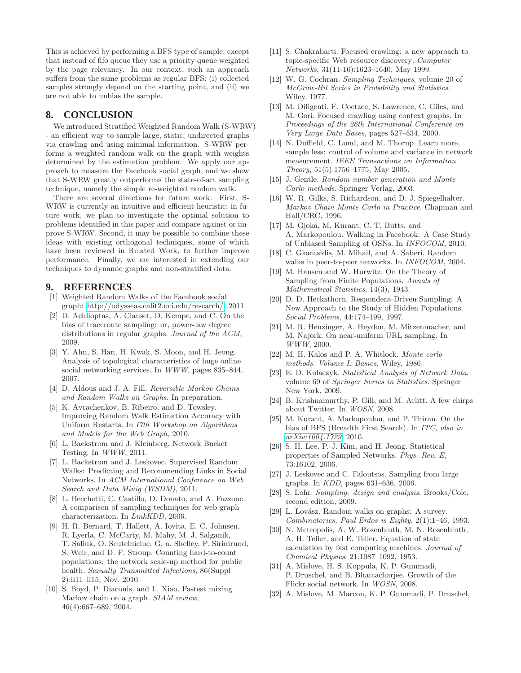This is achieved by performing a BFS type of sample, except that instead of fifo queue they use a priority queue weighted by the page relevancy. In our context, such an approach suffers from the same problems as regular BFS: (i) collected samples strongly depend on the starting point, and (ii) we are not able to unbias the sample.

# **8. CONCLUSION**

We introduced Stratified Weighted Random Walk (S-WRW) - an efficient way to sample large, static, undirected graphs via crawling and using minimal information. S-WRW performs a weighted random walk on the graph with weights determined by the estimation problem. We apply our approach to measure the Facebook social graph, and we show that S-WRW greatly outperforms the state-of-art sampling technique, namely the simple re-weighted random walk.

There are several directions for future work. First, S-WRW is currently an intuitive and efficient heuristic; in future work, we plan to investigate the optimal solution to problems identified in this paper and compare against or improve S-WRW. Second, it may be possible to combine these ideas with existing orthogonal techniques, some of which have been reviewed in Related Work, to further improve performance. Finally, we are interested in extending our techniques to dynamic graphs and non-stratified data.

### <span id="page-11-13"></span>**9. REFERENCES**

- [1] Weighted Random Walks of the Facebook social graph: [http://odysseas.calit2.uci.edu/research/,](http://odysseas.calit2.uci.edu/research/) 2011.
- <span id="page-11-16"></span>[2] D. Achlioptas, A. Clauset, D. Kempe, and C. On the bias of traceroute sampling: or, power-law degree distributions in regular graphs. Journal of the ACM, 2009.
- <span id="page-11-14"></span>[3] Y. Ahn, S. Han, H. Kwak, S. Moon, and H. Jeong. Analysis of topological characteristics of huge online social networking services. In WWW, pages 835–844, 2007.
- <span id="page-11-7"></span>[4] D. Aldous and J. A. Fill. Reversible Markov Chains and Random Walks on Graphs. In preparation.
- <span id="page-11-11"></span>[5] K. Avrachenkov, B. Ribeiro, and D. Towsley. Improving Random Walk Estimation Accuracy with Uniform Restarts. In I7th Workshop on Algorithms and Models for the Web Graph, 2010.
- <span id="page-11-26"></span>[6] L. Backstrom and J. Kleinberg. Network Bucket Testing. In WWW, 2011.
- <span id="page-11-27"></span>[7] L. Backstrom and J. Leskovec. Supervised Random Walks: Predicting and Recommending Links in Social Networks. In ACM International Conference on Web Search and Data Minig (WSDM), 2011.
- <span id="page-11-17"></span>[8] L. Becchetti, C. Castillo, D. Donato, and A. Fazzone. A comparison of sampling techniques for web graph characterization. In LinkKDD, 2006.
- <span id="page-11-10"></span>[9] H. R. Bernard, T. Hallett, A. Iovita, E. C. Johnsen, R. Lyerla, C. McCarty, M. Mahy, M. J. Salganik, T. Saliuk, O. Scutelniciuc, G. a. Shelley, P. Sirinirund, S. Weir, and D. F. Stroup. Counting hard-to-count populations: the network scale-up method for public health. Sexually Transmitted Infections, 86(Suppl 2):ii11–ii15, Nov. 2010.
- <span id="page-11-12"></span>[10] S. Boyd, P. Diaconis, and L. Xiao. Fastest mixing Markov chain on a graph. SIAM review, 46(4):667–689, 2004.
- <span id="page-11-28"></span>[11] S. Chakrabarti. Focused crawling: a new approach to topic-specific Web resource discovery. Computer Networks, 31(11-16):1623–1640, May 1999.
- <span id="page-11-2"></span>[12] W. G. Cochran. Sampling Techniques, volume 20 of McGraw-Hil Series in Probability and Statistics. Wiley, 1977.
- <span id="page-11-29"></span>[13] M. Diligenti, F. Coetzee, S. Lawrence, C. Giles, and M. Gori. Focused crawling using context graphs. In Proceedings of the 26th International Conference on Very Large Data Bases, pages 527–534, 2000.
- <span id="page-11-25"></span>[14] N. Duffield, C. Lund, and M. Thorup. Learn more, sample less: control of volume and variance in network measurement. IEEE Transactions on Information Theory, 51(5):1756–1775, May 2005.
- <span id="page-11-9"></span>[15] J. Gentle. Random number generation and Monte Carlo methods. Springer Verlag, 2003.
- <span id="page-11-20"></span>[16] W. R. Gilks, S. Richardson, and D. J. Spiegelhalter. Markov Chain Monte Carlo in Practice. Chapman and Hall/CRC, 1996.
- <span id="page-11-6"></span>[17] M. Gjoka, M. Kurant, C. T. Butts, and A. Markopoulou. Walking in Facebook: A Case Study of Unbiased Sampling of OSNs. In INFOCOM, 2010.
- <span id="page-11-23"></span>[18] C. Gkantsidis, M. Mihail, and A. Saberi. Random walks in peer-to-peer networks. In INFOCOM, 2004.
- <span id="page-11-8"></span>[19] M. Hansen and W. Hurwitz. On the Theory of Sampling from Finite Populations. Annals of Mathematical Statistics, 14(3), 1943.
- <span id="page-11-21"></span>[20] D. D. Heckathorn. Respondent-Driven Sampling: A New Approach to the Study of Hidden Populations. Social Problems, 44:174–199, 1997.
- <span id="page-11-22"></span>[21] M. R. Henzinger, A. Heydon, M. Mitzenmacher, and M. Najork. On near-uniform URL sampling. In WWW, 2000.
- [22] M. H. Kalos and P. A. Whitlock. Monte carlo methods. Volume I: Basics. Wiley, 1986.
- <span id="page-11-0"></span>[23] E. D. Kolaczyk. Statistical Analysis of Network Data, volume 69 of Springer Series in Statistics. Springer New York, 2009.
- <span id="page-11-24"></span>[24] B. Krishnamurthy, P. Gill, and M. Arlitt. A few chirps about Twitter. In WOSN, 2008.
- <span id="page-11-18"></span>[25] M. Kurant, A. Markopoulou, and P. Thiran. On the bias of BFS (Breadth First Search). In ITC, also in [arXiv:1004.1729](http://arxiv.org/abs/1004.1729), 2010.
- <span id="page-11-19"></span>[26] S. H. Lee, P.-J. Kim, and H. Jeong. Statistical properties of Sampled Networks. Phys. Rev. E, 73:16102, 2006.
- <span id="page-11-1"></span>[27] J. Leskovec and C. Faloutsos. Sampling from large graphs. In KDD, pages 631–636, 2006.
- <span id="page-11-3"></span>[28] S. Lohr. Sampling: design and analysis. Brooks/Cole, second edition, 2009.
- <span id="page-11-4"></span>[29] L. Lovász. Random walks on graphs: A survey. Combinatorics, Paul Erdos is Eighty, 2(1):1–46, 1993.
- <span id="page-11-5"></span>[30] N. Metropolis, A. W. Rosenbluth, M. N. Rosenbluth, A. H. Teller, and E. Teller. Equation of state calculation by fast computing machines. Journal of Chemical Physics, 21:1087–1092, 1953.
- <span id="page-11-15"></span>[31] A. Mislove, H. S. Koppula, K. P. Gummadi, P. Druschel, and B. Bhattacharjee. Growth of the Flickr social network. In WOSN, 2008.
- [32] A. Mislove, M. Marcon, K. P. Gummadi, P. Druschel,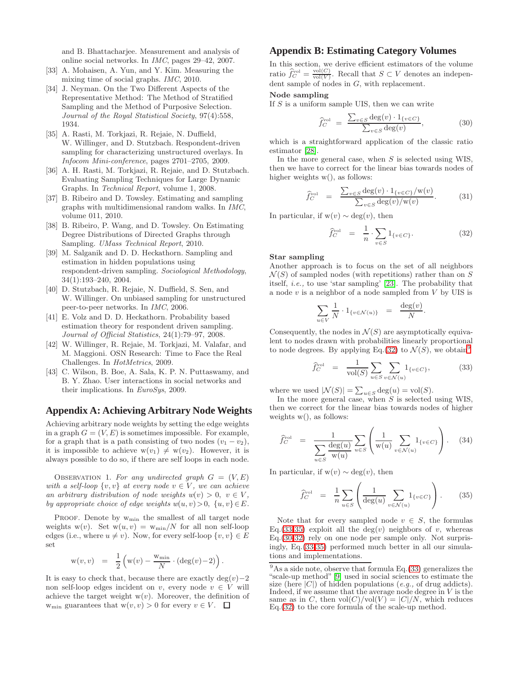and B. Bhattacharjee. Measurement and analysis of online social networks. In IMC, pages 29–42, 2007.

- <span id="page-12-10"></span>[33] A. Mohaisen, A. Yun, and Y. Kim. Measuring the mixing time of social graphs. IMC, 2010.
- <span id="page-12-0"></span>[34] J. Neyman. On the Two Different Aspects of the Representative Method: The Method of Stratified Sampling and the Method of Purposive Selection. Journal of the Royal Statistical Society, 97(4):558, 1934.
- <span id="page-12-1"></span>[35] A. Rasti, M. Torkjazi, R. Rejaie, N. Duffield, W. Willinger, and D. Stutzbach. Respondent-driven sampling for characterizing unstructured overlays. In Infocom Mini-conference, pages 2701–2705, 2009.
- <span id="page-12-12"></span>[36] A. H. Rasti, M. Torkjazi, R. Rejaie, and D. Stutzbach. Evaluating Sampling Techniques for Large Dynamic Graphs. In Technical Report, volume 1, 2008.
- <span id="page-12-7"></span>[37] B. Ribeiro and D. Towsley. Estimating and sampling graphs with multidimensional random walks. In IMC, volume 011, 2010.
- <span id="page-12-9"></span>[38] B. Ribeiro, P. Wang, and D. Towsley. On Estimating Degree Distributions of Directed Graphs through Sampling. UMass Technical Report, 2010.
- <span id="page-12-4"></span>[39] M. Salganik and D. D. Heckathorn. Sampling and estimation in hidden populations using respondent-driven sampling. Sociological Methodology, 34(1):193–240, 2004.
- <span id="page-12-2"></span>[40] D. Stutzbach, R. Rejaie, N. Duffield, S. Sen, and W. Willinger. On unbiased sampling for unstructured peer-to-peer networks. In IMC, 2006.
- <span id="page-12-5"></span>[41] E. Volz and D. D. Heckathorn. Probability based estimation theory for respondent driven sampling. Journal of Official Statistics, 24(1):79–97, 2008.
- <span id="page-12-3"></span>[42] W. Willinger, R. Rejaie, M. Torkjazi, M. Valafar, and M. Maggioni. OSN Research: Time to Face the Real Challenges. In HotMetrics, 2009.
- <span id="page-12-11"></span>[43] C. Wilson, B. Boe, A. Sala, K. P. N. Puttaswamy, and B. Y. Zhao. User interactions in social networks and their implications. In EuroSys, 2009.

# **Appendix A: Achieving Arbitrary Node Weights**

Achieving arbitrary node weights by setting the edge weights in a graph  $G = (V, E)$  is sometimes impossible. For example, for a graph that is a path consisting of two nodes  $(v_1 - v_2)$ , it is impossible to achieve  $w(v_1) \neq w(v_2)$ . However, it is always possible to do so, if there are self loops in each node.

OBSERVATION 1. For any undirected graph  $G = (V, E)$ with a self-loop  $\{v, v\}$  at every node  $v \in V$ , we can achieve an arbitrary distribution of node weights  $w(v) > 0, v \in V$ , by appropriate choice of edge weights  $w(u, v) > 0$ ,  $\{u, v\} \in E$ .

PROOF. Denote by  $w_{\text{min}}$  the smallest of all target node weights w(v). Set  $w(u, v) = w_{min}/N$  for all non self-loop edges (i.e., where  $u \neq v$ ). Now, for every self-loop  $\{v, v\} \in E$ set

$$
\mathrm{w}(v,v) \;\; = \;\; \frac{1}{2} \left( \mathrm{w}(v) - \frac{\mathrm{w}_{\mathrm{min}}}{N} \cdot (\deg(v) - 2) \right).
$$

It is easy to check that, because there are exactly deg $(v)$  - 2 non self-loop edges incident on v, every node  $v \in V$  will achieve the target weight  $w(v)$ . Moreover, the definition of  $w_{\text{min}}$  guarantees that  $w(v, v) > 0$  for every  $v \in V$ .  $\Box$ 

# **Appendix B: Estimating Category Volumes**

In this section, we derive efficient estimators of the volume ratio  $\widehat{f}_C^{\text{vol}} = \frac{\text{vol}(C)}{\text{vol}(V)}$ . Recall that  $S \subset V$  denotes an independent sample of nodes in G, with replacement.

### Node sampling

If  $S$  is a uniform sample UIS, then we can write

<span id="page-12-15"></span>
$$
\widehat{f}_C^{\text{vol}} = \frac{\sum_{v \in S} \deg(v) \cdot 1_{\{v \in C\}}}{\sum_{v \in S} \deg(v)},\tag{30}
$$

which is a straightforward application of the classic ratio estimator [\[28\]](#page-11-3).

In the more general case, when  $S$  is selected using WIS, then we have to correct for the linear bias towards nodes of higher weights  $w()$ , as follows:

$$
\widehat{f}_C^{\text{vol}} = \frac{\sum_{v \in S} \deg(v) \cdot 1_{\{v \in C\}} / \mathbf{w}(v)}{\sum_{v \in S} \deg(v) / \mathbf{w}(v)}.
$$
 (31)

In particular, if w(v)  $\sim$  deg(v), then

<span id="page-12-8"></span>
$$
\widehat{f}_C^{\text{vol}} = \frac{1}{n} \cdot \sum_{v \in S} 1_{\{v \in C\}}.
$$
 (32)

#### Star sampling

Another approach is to focus on the set of all neighbors  $\mathcal{N}(S)$  of sampled nodes (with repetitions) rather than on S itself, i.e., to use 'star sampling' [\[23\]](#page-11-0). The probability that a node  $v$  is a neighbor of a node sampled from  $V$  by UIS is

$$
\sum_{u \in V} \frac{1}{N} \cdot 1_{\{v \in \mathcal{N}(u)\}} = \frac{\deg(v)}{N}.
$$

Consequently, the nodes in  $\mathcal{N}(S)$  are asymptotically equivalent to nodes drawn with probabilities linearly proportional to node degrees. By applying Eq.[\(32\)](#page-12-8) to  $\mathcal{N}(S)$ , we obtain<sup>[9](#page-12-13)</sup>

<span id="page-12-14"></span>
$$
\hat{f}_C^{\text{vol}} = \frac{1}{\text{vol}(S)} \sum_{u \in S} \sum_{v \in \mathcal{N}(u)} 1_{\{v \in C\}}, \tag{33}
$$

where we used  $|\mathcal{N}(S)| = \sum_{u \in S} \deg(u) = \text{vol}(S)$ .

In the more general case, when S is selected using WIS, then we correct for the linear bias towards nodes of higher weights w(), as follows:

$$
\widehat{f}_C^{\text{vol}} = \frac{1}{\sum_{u \in S} \frac{\deg(u)}{\mathbf{w}(u)}} \sum_{u \in S} \left( \frac{1}{\mathbf{w}(u)} \sum_{v \in \mathcal{N}(u)} 1_{\{v \in C\}} \right). \quad (34)
$$

In particular, if w(v)  $\sim$  deg(v), then

<span id="page-12-6"></span>
$$
\widehat{f}_C^{\text{vol}} = \frac{1}{n} \sum_{u \in S} \left( \frac{1}{\deg(u)} \sum_{v \in \mathcal{N}(u)} 1_{\{v \in C\}} \right). \tag{35}
$$

Note that for every sampled node  $v \in S$ , the formulas Eq.[\(33](#page-12-14)[-35\)](#page-12-6) exploit all the deg(v) neighbors of v, whereas Eq.[\(30](#page-12-15)[-32\)](#page-12-8) rely on one node per sample only. Not surprisingly, Eq.[\(33-](#page-12-14)[35\)](#page-12-6) performed much better in all our simulations and implementations.

<span id="page-12-13"></span> $9^9$ As a side note, observe that formula Eq.[\(33\)](#page-12-14) generalizes the "scale-up method" [\[9\]](#page-11-10) used in social sciences to estimate the size (here  $|C|$ ) of hidden populations (e.g., of drug addicts). Indeed, if we assume that the average node degree in  $V$  is the same as in C, then  $vol(C)/vol(V) = |C|/N$ , which reduces Eq.[\(32\)](#page-12-8) to the core formula of the scale-up method.